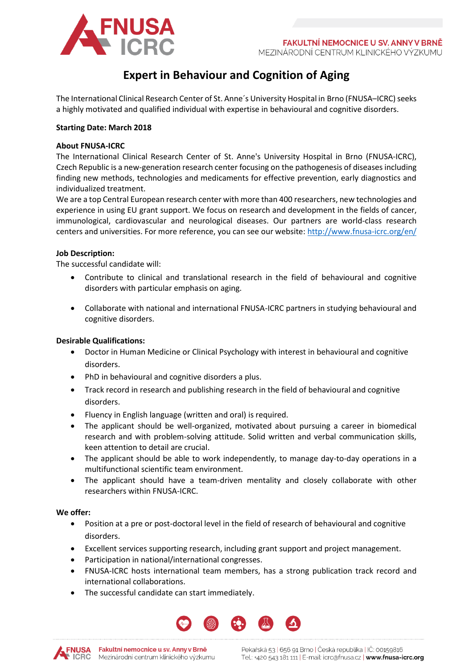

# **Expert in Behaviour and Cognition of Aging**

The International Clinical Research Center of St. Anne's University Hospital in Brno (FNUSA-ICRC) seeks a highly motivated and qualified individual with expertise in behavioural and cognitive disorders.

## **Starting Date: March 2018**

## **About FNUSA-ICRC**

The International Clinical Research Center of [St. Anne's University Hospital in Brno](http://web.fnusa.cz/) (FNUSA-ICRC), Czech Republic is a new-generation research center focusing on the pathogenesis of diseases including finding new methods, technologies and medicaments for effective prevention, early diagnostics and individualized treatment.

We are a top Central European research center with more than 400 researchers, new technologies and experience in using EU grant support. We focus on research and development in the fields of cancer, immunological, cardiovascular and neurological diseases. Our partners are world-class research centers and universities. For more reference, you can see our website:<http://www.fnusa-icrc.org/en/>

## **Job Description:**

The successful candidate will:

- Contribute to clinical and translational research in the field of behavioural and cognitive disorders with particular emphasis on aging.
- Collaborate with national and international FNUSA-ICRC partners in studying behavioural and cognitive disorders.

## **Desirable Qualifications:**

- Doctor in Human Medicine or Clinical Psychology with interest in behavioural and cognitive disorders.
- PhD in behavioural and cognitive disorders a plus.
- Track record in research and publishing research in the field of behavioural and cognitive disorders.
- Fluency in English language (written and oral) is required.
- The applicant should be well-organized, motivated about pursuing a career in biomedical research and with problem-solving attitude. Solid written and verbal communication skills, keen attention to detail are crucial.
- The applicant should be able to work independently, to manage day-to-day operations in a multifunctional scientific team environment.
- The applicant should have a team-driven mentality and closely collaborate with other researchers within FNUSA-ICRC.

## **We offer:**

- Position at a pre or post-doctoral level in the field of research of behavioural and cognitive disorders.
- Excellent services supporting research, including grant support and project management.
- Participation in national/international congresses.
- FNUSA-ICRC hosts international team members, has a strong publication track record and international collaborations.
- The successful candidate can start immediately.